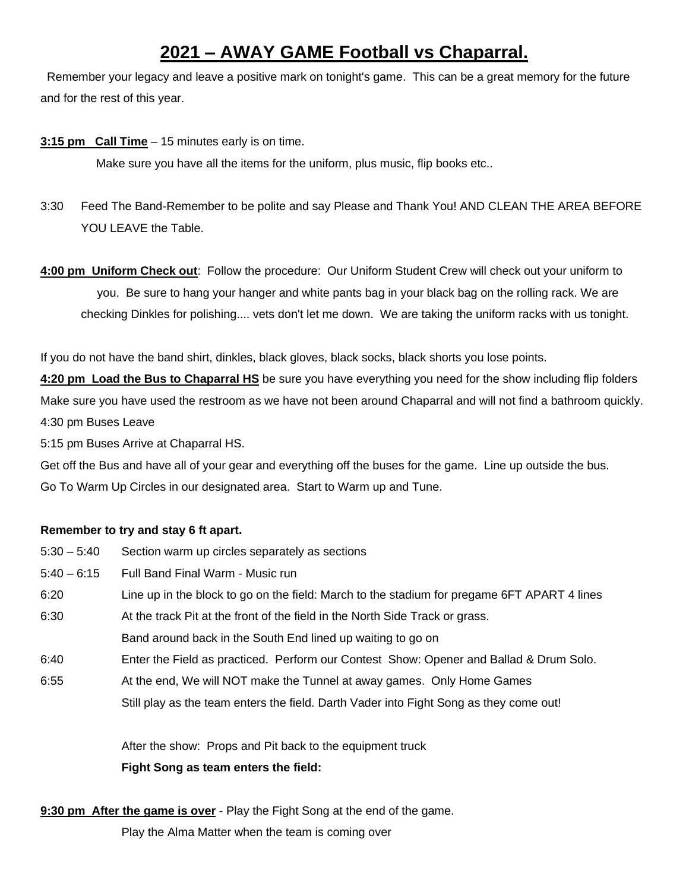## **2021 – AWAY GAME Football vs Chaparral.**

Remember your legacy and leave a positive mark on tonight's game. This can be a great memory for the future and for the rest of this year.

**3:15 pm Call Time** – 15 minutes early is on time.

Make sure you have all the items for the uniform, plus music, flip books etc..

- 3:30 Feed The Band-Remember to be polite and say Please and Thank You! AND CLEAN THE AREA BEFORE YOU LEAVE the Table.
- **4:00 pm Uniform Check out**: Follow the procedure: Our Uniform Student Crew will check out your uniform to you. Be sure to hang your hanger and white pants bag in your black bag on the rolling rack. We are checking Dinkles for polishing.... vets don't let me down. We are taking the uniform racks with us tonight.

If you do not have the band shirt, dinkles, black gloves, black socks, black shorts you lose points.

**4:20 pm Load the Bus to Chaparral HS** be sure you have everything you need for the show including flip folders Make sure you have used the restroom as we have not been around Chaparral and will not find a bathroom quickly. 4:30 pm Buses Leave

5:15 pm Buses Arrive at Chaparral HS.

Get off the Bus and have all of your gear and everything off the buses for the game. Line up outside the bus. Go To Warm Up Circles in our designated area. Start to Warm up and Tune.

## **Remember to try and stay 6 ft apart.**

| $5:30 - 5:40$ | Section warm up circles separately as sections                                              |
|---------------|---------------------------------------------------------------------------------------------|
| $5:40 - 6:15$ | Full Band Final Warm - Music run                                                            |
| 6:20          | Line up in the block to go on the field: March to the stadium for pregame 6FT APART 4 lines |
| 6:30          | At the track Pit at the front of the field in the North Side Track or grass.                |
|               | Band around back in the South End lined up waiting to go on                                 |
| 6:40          | Enter the Field as practiced. Perform our Contest Show: Opener and Ballad & Drum Solo.      |
| 6:55          | At the end, We will NOT make the Tunnel at away games. Only Home Games                      |
|               |                                                                                             |

Still play as the team enters the field. Darth Vader into Fight Song as they come out!

After the show: Props and Pit back to the equipment truck **Fight Song as team enters the field:**

**9:30 pm After the game is over** - Play the Fight Song at the end of the game.

Play the Alma Matter when the team is coming over